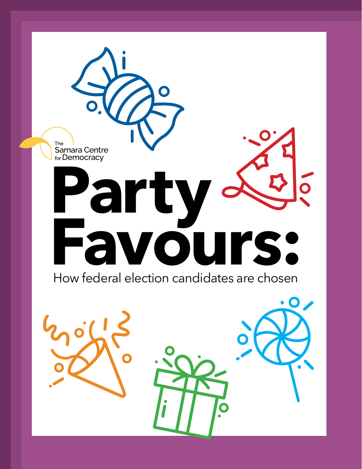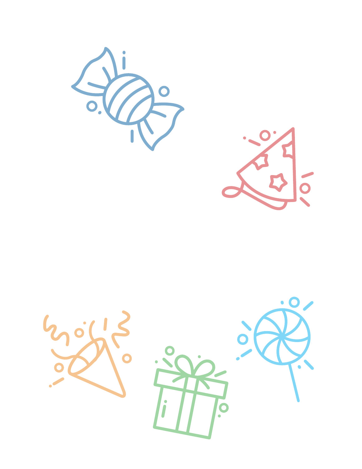



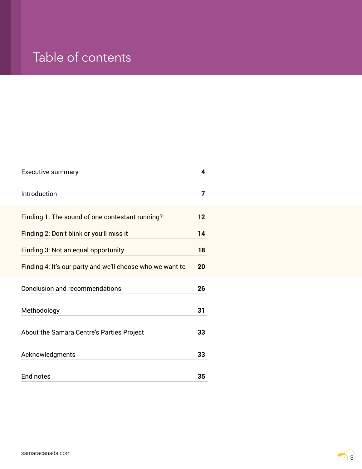# Table of contents

| Executive summary                                         | 4              |
|-----------------------------------------------------------|----------------|
| Introduction                                              | $\overline{7}$ |
| Finding 1: The sound of one contestant running?           | 12             |
| Finding 2: Don't blink or you'll miss it                  | 14             |
| Finding 3: Not an equal opportunity                       | 18             |
| Finding 4: It's our party and we'll choose who we want to | 20             |
| <b>Conclusion and recommendations</b>                     | 26             |
| Methodology                                               | 31             |
| About the Samara Centre's Parties Project                 | 33             |
| Acknowledgments                                           | 33             |
| End notes                                                 | 35             |

 $\bigg)$  3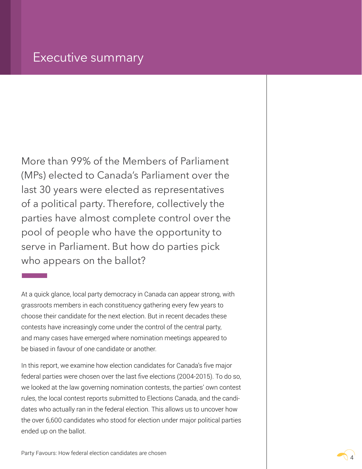More than 99% of the Members of Parliament (MPs) elected to Canada's Parliament over the last 30 years were elected as representatives of a political party. Therefore, collectively the parties have almost complete control over the pool of people who have the opportunity to serve in Parliament. But how do parties pick who appears on the ballot?

At a quick glance, local party democracy in Canada can appear strong, with grassroots members in each constituency gathering every few years to choose their candidate for the next election. But in recent decades these contests have increasingly come under the control of the central party, and many cases have emerged where nomination meetings appeared to be biased in favour of one candidate or another.

In this report, we examine how election candidates for Canada's five major federal parties were chosen over the last five elections (2004-2015). To do so, we looked at the law governing nomination contests, the parties' own contest rules, the local contest reports submitted to Elections Canada, and the candidates who actually ran in the federal election. This allows us to uncover how the over 6,600 candidates who stood for election under major political parties ended up on the ballot.

4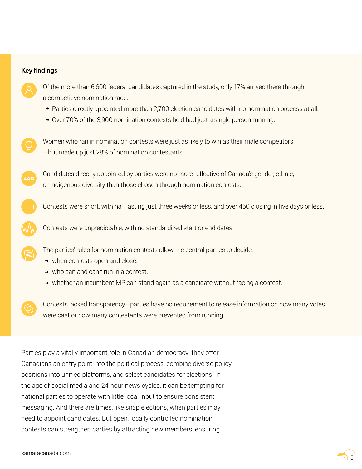#### **Key findings**

- Of the more than 6,600 federal candidates captured in the study, only 17% arrived there through a competitive nomination race.
	- → Parties directly appointed more than 2,700 election candidates with no nomination process at all.
	- $\rightarrow$  Over 70% of the 3,900 nomination contests held had just a single person running.
- Women who ran in nomination contests were just as likely to win as their male competitors —but made up just 28% of nomination contestants
	- Candidates directly appointed by parties were no more reflective of Canada's gender, ethnic, or Indigenous diversity than those chosen through nomination contests.
	- Contests were short, with half lasting just three weeks or less, and over 450 closing in five days or less.
	- Contests were unpredictable, with no standardized start or end dates.
		- The parties' rules for nomination contests allow the central parties to decide:
		- → when contests open and close.
		- $\rightarrow$  who can and can't run in a contest.
		- → whether an incumbent MP can stand again as a candidate without facing a contest.

 Contests lacked transparency—parties have no requirement to release information on how many votes were cast or how many contestants were prevented from running.

Parties play a vitally important role in Canadian democracy: they offer Canadians an entry point into the political process, combine diverse policy positions into unified platforms, and select candidates for elections. In the age of social media and 24-hour news cycles, it can be tempting for national parties to operate with little local input to ensure consistent messaging. And there are times, like snap elections, when parties may need to appoint candidates. But open, locally controlled nomination contests can strengthen parties by attracting new members, ensuring

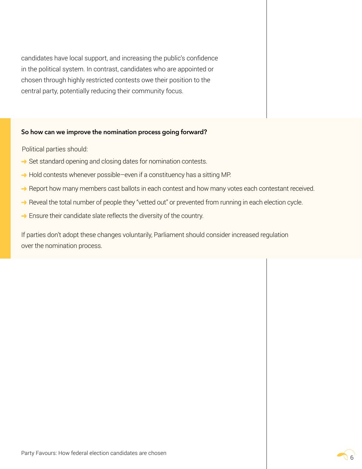candidates have local support, and increasing the public's confidence in the political system. In contrast, candidates who are appointed or chosen through highly restricted contests owe their position to the central party, potentially reducing their community focus.

### **So how can we improve the nomination process going forward?**

Political parties should:

- $\rightarrow$  Set standard opening and closing dates for nomination contests.
- $\rightarrow$  Hold contests whenever possible–even if a constituency has a sitting MP.
- Report how many members cast ballots in each contest and how many votes each contestant received.
- Reveal the total number of people they "vetted out" or prevented from running in each election cycle.
- → Ensure their candidate slate reflects the diversity of the country.

If parties don't adopt these changes voluntarily, Parliament should consider increased regulation over the nomination process.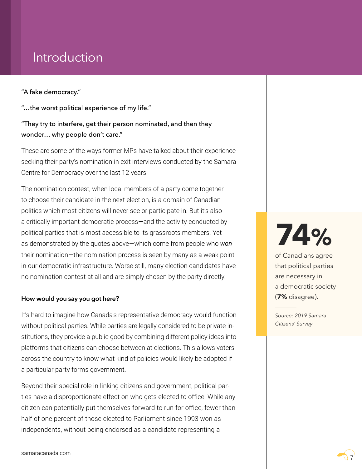# Introduction

# "A fake democracy."

"…the worst political experience of my life."

# "They try to interfere, get their person nominated, and then they wonder… why people don't care."

These are some of the ways former MPs have talked about their experience seeking their party's nomination in exit interviews conducted by the Samara Centre for Democracy over the last 12 years.

The nomination contest, when local members of a party come together to choose their candidate in the next election, is a domain of Canadian politics which most citizens will never see or participate in. But it's also a critically important democratic process—and the activity conducted by political parties that is most accessible to its grassroots members. Yet as demonstrated by the quotes above—which come from people who *won* their nomination—the nomination process is seen by many as a weak point in our democratic infrastructure. Worse still, many election candidates have no nomination contest at all and are simply chosen by the party directly.

### **How would you say you got here?**

It's hard to imagine how Canada's representative democracy would function without political parties. While parties are legally considered to be private institutions, they provide a public good by combining different policy ideas into platforms that citizens can choose between at elections. This allows voters across the country to know what kind of policies would likely be adopted if a particular party forms government.

Beyond their special role in linking citizens and government, political parties have a disproportionate effect on who gets elected to office. While any citizen can potentially put themselves forward to run for office, fewer than half of one percent of those elected to Parliament since 1993 won as independents, without being endorsed as a candidate representing a

# **74%**

of Canadians agree that political parties are necessary in a democratic society (**7%** disagree).

*Source: 2019 Samara Citizens' Survey*

7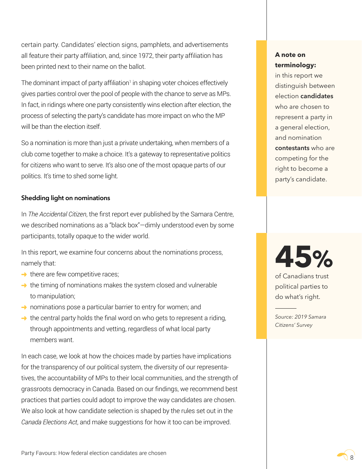certain party. Candidates' election signs, pamphlets, and advertisements all feature their party affiliation, and, since 1972, their party affiliation has been printed next to their name on the ballot.

The dominant impact of party affiliation<sup>1</sup> in shaping voter choices effectively gives parties control over the pool of people with the chance to serve as MPs. In fact, in ridings where one party consistently wins election after election, the process of selecting the party's candidate has more impact on who the MP will be than the election itself.

So a nomination is more than just a private undertaking, when members of a club come together to make a choice. It's a gateway to representative politics for citizens who want to serve. It's also one of the most opaque parts of our politics. It's time to shed some light.

# **Shedding light on nominations**

In *The Accidental Citizen*, the first report ever published by the Samara Centre, we described nominations as a "black box"—dimly understood even by some participants, totally opaque to the wider world.

In this report, we examine four concerns about the nominations process, namely that:

- $\rightarrow$  there are few competitive races;
- $\rightarrow$  the timing of nominations makes the system closed and vulnerable to manipulation;
- $\rightarrow$  nominations pose a particular barrier to entry for women; and
- $\rightarrow$  the central party holds the final word on who gets to represent a riding, through appointments and vetting, regardless of what local party members want.

In each case, we look at how the choices made by parties have implications for the transparency of our political system, the diversity of our representatives, the accountability of MPs to their local communities, and the strength of grassroots democracy in Canada. Based on our findings, we recommend best practices that parties could adopt to improve the way candidates are chosen. We also look at how candidate selection is shaped by the rules set out in the *Canada Elections Act*, and make suggestions for how it too can be improved.

# **A note on terminology:**

in this report we distinguish between election **candidates** who are chosen to represent a party in a general election, and nomination **contestants** who are competing for the right to become a party's candidate.



of Canadians trust political parties to do what's right.

*Source: 2019 Samara Citizens' Survey*

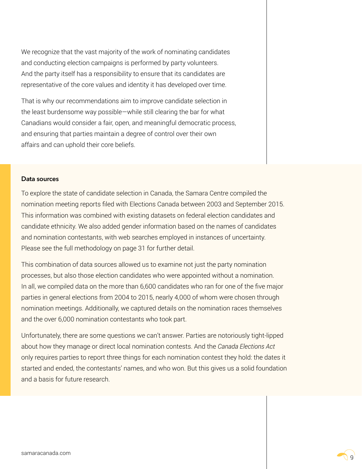We recognize that the vast majority of the work of nominating candidates and conducting election campaigns is performed by party volunteers. And the party itself has a responsibility to ensure that its candidates are representative of the core values and identity it has developed over time.

That is why our recommendations aim to improve candidate selection in the least burdensome way possible—while still clearing the bar for what Canadians would consider a fair, open, and meaningful democratic process, and ensuring that parties maintain a degree of control over their own affairs and can uphold their core beliefs.

#### **Data sources**

To explore the state of candidate selection in Canada, the Samara Centre compiled the nomination meeting reports filed with Elections Canada between 2003 and September 2015. This information was combined with existing datasets on federal election candidates and candidate ethnicity. We also added gender information based on the names of candidates and nomination contestants, with web searches employed in instances of uncertainty. Please see the full methodology on page 31 for further detail.

This combination of data sources allowed us to examine not just the party nomination processes, but also those election candidates who were appointed without a nomination. In all, we compiled data on the more than 6,600 candidates who ran for one of the five major parties in general elections from 2004 to 2015, nearly 4,000 of whom were chosen through nomination meetings. Additionally, we captured details on the nomination races themselves and the over 6,000 nomination contestants who took part.

Unfortunately, there are some questions we can't answer. Parties are notoriously tight-lipped about how they manage or direct local nomination contests. And the *Canada Elections Act* only requires parties to report three things for each nomination contest they hold: the dates it started and ended, the contestants' names, and who won. But this gives us a solid foundation and a basis for future research.

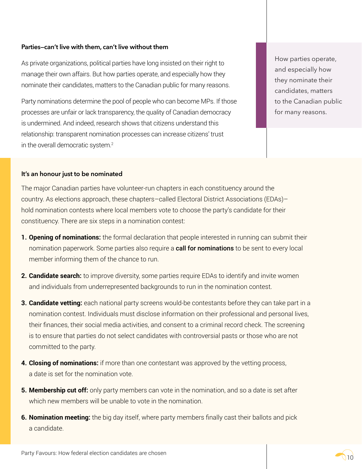# **Parties—can't live with them, can't live without them**

As private organizations, political parties have long insisted on their right to manage their own affairs. But how parties operate, and especially how they nominate their candidates, matters to the Canadian public for many reasons.

Party nominations determine the pool of people who can become MPs. If those processes are unfair or lack transparency, the quality of Canadian democracy is undermined. And indeed, research shows that citizens understand this relationship: transparent nomination processes can increase citizens' trust in the overall democratic system.<sup>2</sup>

How parties operate, and especially how they nominate their candidates, matters to the Canadian public for many reasons.

### **It's an honour just to be nominated**

The major Canadian parties have volunteer-run chapters in each constituency around the country. As elections approach, these chapters–called Electoral District Associations (EDAs)– hold nomination contests where local members vote to choose the party's candidate for their constituency. There are six steps in a nomination contest:

- **1. Opening of nominations:** the formal declaration that people interested in running can submit their nomination paperwork. Some parties also require a **call for nominations** to be sent to every local member informing them of the chance to run.
- **2. Candidate search:** to improve diversity, some parties require EDAs to identify and invite women and individuals from underrepresented backgrounds to run in the nomination contest.
- **3. Candidate vetting:** each national party screens would-be contestants before they can take part in a nomination contest. Individuals must disclose information on their professional and personal lives, their finances, their social media activities, and consent to a criminal record check. The screening is to ensure that parties do not select candidates with controversial pasts or those who are not committed to the party.
- **4. Closing of nominations:** if more than one contestant was approved by the vetting process, a date is set for the nomination vote.
- **5. Membership cut off:** only party members can vote in the nomination, and so a date is set after which new members will be unable to vote in the nomination.
- **6. Nomination meeting:** the big day itself, where party members finally cast their ballots and pick a candidate.

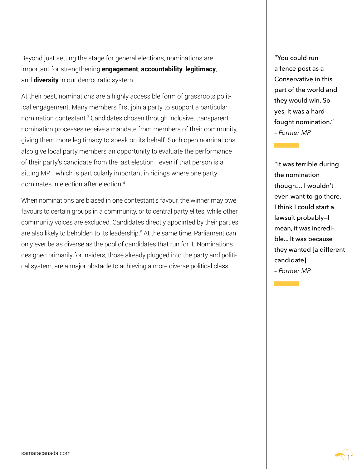Beyond just setting the stage for general elections, nominations are important for strengthening **engagement**, **accountability**, **legitimacy**, and **diversity** in our democratic system.

At their best, nominations are a highly accessible form of grassroots political engagement. Many members first join a party to support a particular nomination contestant.<sup>3</sup> Candidates chosen through inclusive, transparent nomination processes receive a mandate from members of their community, giving them more legitimacy to speak on its behalf. Such open nominations also give local party members an opportunity to evaluate the performance of their party's candidate from the last election—even if that person is a sitting MP—which is particularly important in ridings where one party dominates in election after election.4

When nominations are biased in one contestant's favour, the winner may owe favours to certain groups in a community, or to central party elites, while other community voices are excluded. Candidates directly appointed by their parties are also likely to beholden to its leadership.<sup>5</sup> At the same time, Parliament can only ever be as diverse as the pool of candidates that run for it. Nominations designed primarily for insiders, those already plugged into the party and political system, are a major obstacle to achieving a more diverse political class.

"You could run a fence post as a Conservative in this part of the world and they would win. So yes, it was a hardfought nomination." *– Former MP*

"It was terrible during the nomination though… I wouldn't even want to go there. I think I could start a lawsuit probably—I mean, it was incredible... It was because they wanted [a different candidate]. *– Former MP*

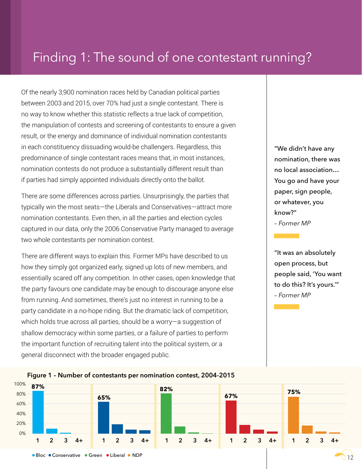# Finding 1: The sound of one contestant running?

Of the nearly 3,900 nomination races held by Canadian political parties between 2003 and 2015, over 70% had just a single contestant. There is no way to know whether this statistic reflects a true lack of competition, the manipulation of contests and screening of contestants to ensure a given result, or the energy and dominance of individual nomination contestants in each constituency dissuading would-be challengers. Regardless, this predominance of single contestant races means that, in most instances, nomination contests do not produce a substantially different result than if parties had simply appointed individuals directly onto the ballot.

There are some differences across parties. Unsurprisingly, the parties that typically win the most seats—the Liberals and Conservatives—attract more nomination contestants. Even then, in all the parties and election cycles captured in our data, only the 2006 Conservative Party managed to average two whole contestants per nomination contest.

There are different ways to explain this. Former MPs have described to us how they simply got organized early, signed up lots of new members, and essentially scared off any competition. In other cases, open knowledge that the party favours one candidate may be enough to discourage anyone else from running. And sometimes, there's just no interest in running to be a party candidate in a no-hope riding. But the dramatic lack of competition, which holds true across all parties, should be a worry—a suggestion of shallow democracy within some parties, or a failure of parties to perform the important function of recruiting talent into the political system, or a general disconnect with the broader engaged public.

"We didn't have any nomination, there was no local association… You go and have your paper, sign people, or whatever, you know?" *– Former MP*

"It was an absolutely open process, but people said, 'You want to do this? It's yours.'" *– Former MP*

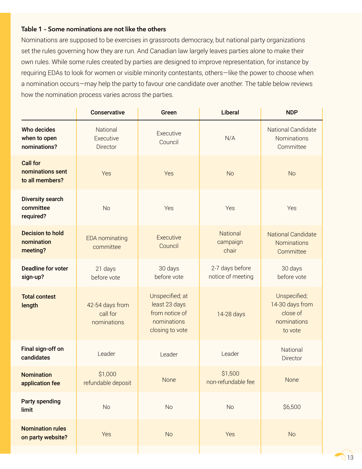## **Table 1 – Some nominations are not like the others**

Nominations are supposed to be exercises in grassroots democracy, but national party organizations set the rules governing how they are run. And Canadian law largely leaves parties alone to make their own rules. While some rules created by parties are designed to improve representation, for instance by requiring EDAs to look for women or visible minority contestants, others—like the power to choose when a nomination occurs—may help the party to favour one candidate over another. The table below reviews how the nomination process varies across the parties.

|                                                        | <b>Conservative</b><br>Green               |                                                                                      | <b>Liberal</b>                       | <b>NDP</b>                                                            |  |
|--------------------------------------------------------|--------------------------------------------|--------------------------------------------------------------------------------------|--------------------------------------|-----------------------------------------------------------------------|--|
| Who decides<br>when to open<br>nominations?            | National<br>Executive<br>Director          | Executive<br>Council                                                                 | N/A                                  | National Candidate<br>Nominations<br>Committee                        |  |
| <b>Call for</b><br>nominations sent<br>to all members? | Yes                                        | Yes                                                                                  | <b>No</b>                            | <b>No</b>                                                             |  |
| <b>Diversity search</b><br>committee<br>required?      | <b>No</b>                                  | Yes                                                                                  | Yes                                  | Yes                                                                   |  |
| <b>Decision to hold</b><br>nomination<br>meeting?      | <b>EDA</b> nominating<br>committee         | Executive<br>Council                                                                 | National<br>campaign<br>chair        | <b>National Candidate</b><br>Nominations<br>Committee                 |  |
| <b>Deadline for voter</b><br>sign-up?                  | 21 days<br>before vote                     | 30 days<br>before vote                                                               | 2-7 days before<br>notice of meeting | 30 days<br>before vote                                                |  |
| <b>Total contest</b><br>length                         | 42-54 days from<br>call for<br>nominations | Unspecified; at<br>least 23 days<br>from notice of<br>nominations<br>closing to vote | 14-28 days                           | Unspecified;<br>14-30 days from<br>close of<br>nominations<br>to vote |  |
| Final sign-off on<br>candidates                        | Leader                                     | Leader                                                                               | Leader                               | National<br>Director                                                  |  |
| <b>Nomination</b><br>application fee                   | \$1,000<br>refundable deposit              | None                                                                                 | \$1,500<br>non-refundable fee        | None                                                                  |  |
| Party spending<br>limit                                | No                                         | No                                                                                   | <b>No</b>                            | \$6,500                                                               |  |
| <b>Nomination rules</b><br>on party website?           | Yes                                        | <b>No</b>                                                                            | Yes                                  | <b>No</b>                                                             |  |
|                                                        |                                            |                                                                                      |                                      |                                                                       |  |

13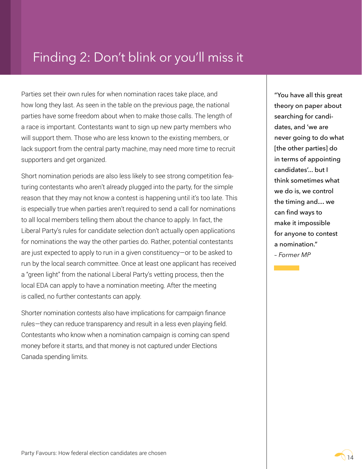# Finding 2: Don't blink or you'll miss it

Parties set their own rules for when nomination races take place, and how long they last. As seen in the table on the previous page, the national parties have some freedom about when to make those calls. The length of a race is important. Contestants want to sign up new party members who will support them. Those who are less known to the existing members, or lack support from the central party machine, may need more time to recruit supporters and get organized.

Short nomination periods are also less likely to see strong competition featuring contestants who aren't already plugged into the party, for the simple reason that they may not know a contest is happening until it's too late. This is especially true when parties aren't required to send a call for nominations to all local members telling them about the chance to apply. In fact, the Liberal Party's rules for candidate selection don't actually open applications for nominations the way the other parties do. Rather, potential contestants are just expected to apply to run in a given constituency—or to be asked to run by the local search committee. Once at least one applicant has received a "green light" from the national Liberal Party's vetting process, then the local EDA can apply to have a nomination meeting. After the meeting is called, no further contestants can apply.

Shorter nomination contests also have implications for campaign finance rules—they can reduce transparency and result in a less even playing field. Contestants who know when a nomination campaign is coming can spend money before it starts, and that money is not captured under Elections Canada spending limits.

"You have all this great theory on paper about searching for candidates, and 'we are never going to do what [the other parties] do in terms of appointing candidates'... but I think sometimes what we do is, we control the timing and… we can find ways to make it impossible for anyone to contest a nomination." *– Former MP*

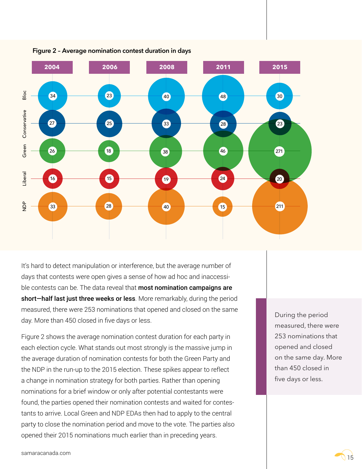

#### **Figure 2 – Average nomination contest duration in days**

It's hard to detect manipulation or interference, but the average number of days that contests were open gives a sense of how ad hoc and inaccessible contests can be. The data reveal that most nomination campaigns are short-half last just three weeks or less. More remarkably, during the period measured, there were 253 nominations that opened and closed on the same day. More than 450 closed in five days or less.

Figure 2 shows the average nomination contest duration for each party in each election cycle. What stands out most strongly is the massive jump in the average duration of nomination contests for both the Green Party and the NDP in the run-up to the 2015 election. These spikes appear to reflect a change in nomination strategy for both parties. Rather than opening nominations for a brief window or only after potential contestants were found, the parties opened their nomination contests and waited for contestants to arrive. Local Green and NDP EDAs then had to apply to the central party to close the nomination period and move to the vote. The parties also opened their 2015 nominations much earlier than in preceding years.

During the period measured, there were 253 nominations that opened and closed on the same day. More than 450 closed in five days or less.

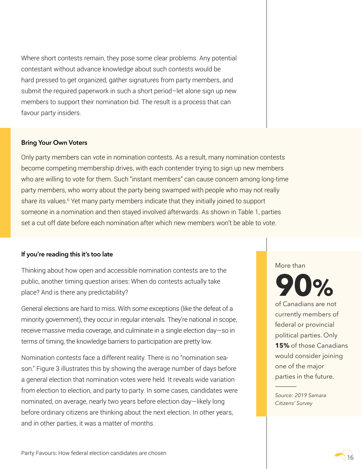Where short contests remain, they pose some clear problems. Any potential contestant without advance knowledge about such contests would be hard pressed to get organized, gather signatures from party members, and submit the required paperwork in such a short period–let alone sign up new members to support their nomination bid. The result is a process that can favour party insiders.

### **Bring Your Own Voters**

Only party members can vote in nomination contests. As a result, many nomination contests become competing membership drives, with each contender trying to sign up new members who are willing to vote for them. Such "instant members" can cause concern among long-time party members, who worry about the party being swamped with people who may not really share its values.6 Yet many party members indicate that they initially joined to support someone in a nomination and then stayed involved afterwards. As shown in Table 1, parties set a cut off date before each nomination after which new members won't be able to vote.

# **If you're reading this it's too late**

Thinking about how open and accessible nomination contests are to the public, another timing question arises: When do contests actually take place? And is there any predictability?

General elections are hard to miss. With some exceptions (like the defeat of a minority government), they occur in regular intervals. They're national in scope, receive massive media coverage, and culminate in a single election day—so in terms of timing, the knowledge barriers to participation are pretty low.

Nomination contests face a different reality. There is no "nomination season." Figure 3 illustrates this by showing the average number of days before a general election that nomination votes were held. It reveals wide variation from election to election, and party to party. In some cases, candidates were nominated, on average, nearly two years before election day—likely long before ordinary citizens are thinking about the next election. In other years, and in other parties, it was a matter of months.

# More than

**90%**

of Canadians are not currently members of federal or provincial political parties. Only **15%** of those Canadians would consider joining one of the major parties in the future.

*Source: 2019 Samara Citizens' Survey*

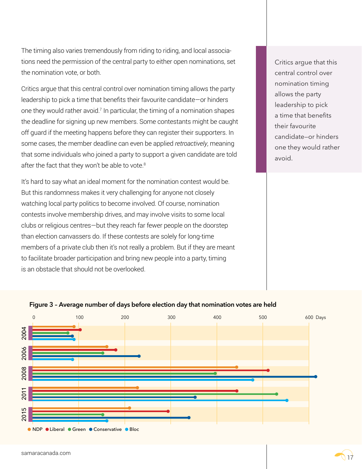The timing also varies tremendously from riding to riding, and local associations need the permission of the central party to either open nominations, set the nomination vote, or both.

Critics argue that this central control over nomination timing allows the party leadership to pick a time that benefits their favourite candidate—or hinders one they would rather avoid.<sup>7</sup> In particular, the timing of a nomination shapes the deadline for signing up new members. Some contestants might be caught off guard if the meeting happens before they can register their supporters. In some cases, the member deadline can even be applied *retroactively*, meaning that some individuals who joined a party to support a given candidate are told after the fact that they won't be able to vote.<sup>8</sup>

It's hard to say what an ideal moment for the nomination contest would be. But this randomness makes it very challenging for anyone not closely watching local party politics to become involved. Of course, nomination contests involve membership drives, and may involve visits to some local clubs or religious centres—but they reach far fewer people on the doorstep than election canvassers do. If these contests are solely for long-time members of a private club then it's not really a problem. But if they are meant to facilitate broader participation and bring new people into a party, timing is an obstacle that should not be overlooked.

Critics argue that this central control over nomination timing allows the party leadership to pick a time that benefits their favourite candidate—or hinders one they would rather avoid.



#### **Figure 3 – Average number of days before election day that nomination votes are held**

<sup>●</sup> NDP ● Liberal ● Green ● Conservative ● Bloc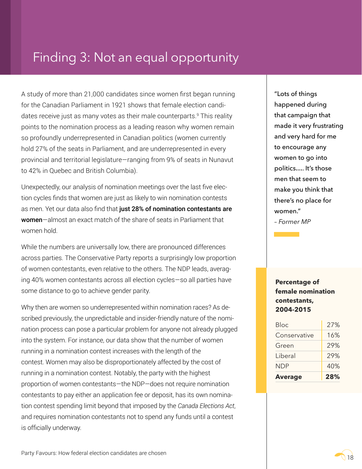# Finding 3: Not an equal opportunity

A study of more than 21,000 candidates since women first began running for the Canadian Parliament in 1921 shows that female election candidates receive just as many votes as their male counterparts.<sup>9</sup> This reality points to the nomination process as a leading reason why women remain so profoundly underrepresented in Canadian politics (women currently hold 27% of the seats in Parliament, and are underrepresented in every provincial and territorial legislature—ranging from 9% of seats in Nunavut to 42% in Quebec and British Columbia).

Unexpectedly, our analysis of nomination meetings over the last five election cycles finds that women are just as likely to win nomination contests as men. Yet our data also find that just 28% of nomination contestants are women—almost an exact match of the share of seats in Parliament that women hold.

While the numbers are universally low, there are pronounced differences across parties. The Conservative Party reports a surprisingly low proportion of women contestants, even relative to the others. The NDP leads, averaging 40% women contestants across all election cycles—so all parties have some distance to go to achieve gender parity.

Why then are women so underrepresented within nomination races? As described previously, the unpredictable and insider-friendly nature of the nomination process can pose a particular problem for anyone not already plugged into the system. For instance, our data show that the number of women running in a nomination contest increases with the length of the contest. Women may also be disproportionately affected by the cost of running in a nomination contest. Notably, the party with the highest proportion of women contestants—the NDP—does not require nomination contestants to pay either an application fee or deposit, has its own nomination contest spending limit beyond that imposed by the *Canada Elections Act*, and requires nomination contestants not to spend any funds until a contest is officially underway.

"Lots of things happened during that campaign that made it very frustrating and very hard for me to encourage any women to go into politics…. It's those men that seem to make you think that there's no place for women." *– Former MP*

# **Percentage of female nomination contestants, 2004-2015**

| <b>Average</b> | 28% |
|----------------|-----|
| <b>NDP</b>     | 40% |
| Liberal        | 29% |
| Green          | 29% |
| Conservative   | 16% |
| <b>Bloc</b>    | 27% |

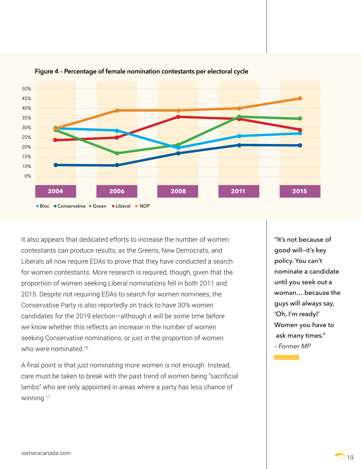

#### **Figure 4 – Percentage of female nomination contestants per electoral cycle**

It also appears that dedicated efforts to increase the number of women contestants can produce results, as the Greens, New Democrats, and Liberals all now require EDAs to prove that they have conducted a search for women contestants. More research is required, though, given that the proportion of women seeking Liberal nominations fell in both 2011 and 2015. Despite not requiring EDAs to search for women nominees, the Conservative Party is also reportedly on track to have 30% women candidates for the 2019 election—although it will be some time before we know whether this reflects an increase in the number of women seeking Conservative nominations, or just in the proportion of women who were nominated.<sup>10</sup>

A final point is that just nominating more women is not enough. Instead, care must be taken to break with the past trend of women being "sacrificial lambs" who are only appointed in areas where a party has less chance of winning.11

"It's not because of good will—it's key policy. You can't nominate a candidate until you seek out a woman… because the guys will always say, 'Oh, I'm ready!' Women you have to ask many times." *– Former MP*

19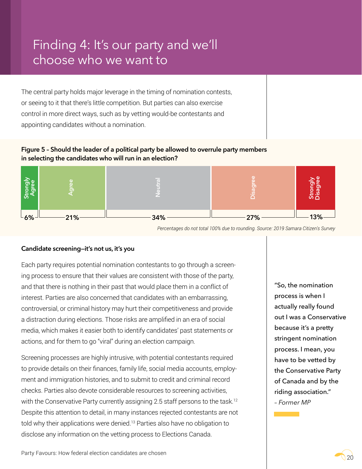# Finding 4: It's our party and we'll choose who we want to

The central party holds major leverage in the timing of nomination contests, or seeing to it that there's little competition. But parties can also exercise control in more direct ways, such as by vetting would-be contestants and appointing candidates without a nomination.

# **Figure 5 – Should the leader of a political party be allowed to overrule party members in selecting the candidates who will run in an election?**



*Percentages do not total 100% due to rounding. Source: 2019 Samara Citizen's Survey*

# **Candidate screening—it's not us, it's you**

Each party requires potential nomination contestants to go through a screening process to ensure that their values are consistent with those of the party, and that there is nothing in their past that would place them in a conflict of interest. Parties are also concerned that candidates with an embarrassing, controversial, or criminal history may hurt their competitiveness and provide a distraction during elections. Those risks are amplified in an era of social media, which makes it easier both to identify candidates' past statements or actions, and for them to go "viral" during an election campaign.

Screening processes are highly intrusive, with potential contestants required to provide details on their finances, family life, social media accounts, employment and immigration histories, and to submit to credit and criminal record checks. Parties also devote considerable resources to screening activities, with the Conservative Party currently assigning 2.5 staff persons to the task.<sup>12</sup> Despite this attention to detail, in many instances rejected contestants are not told why their applications were denied.<sup>13</sup> Parties also have no obligation to disclose any information on the vetting process to Elections Canada.

"So, the nomination process is when I actually really found out I was a Conservative because it's a pretty stringent nomination process. I mean, you have to be vetted by the Conservative Party of Canada and by the riding association." *– Former MP*

20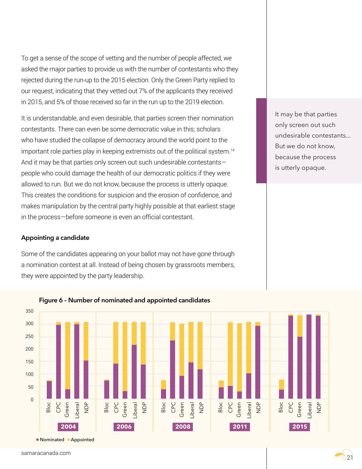To get a sense of the scope of vetting and the number of people affected, we asked the major parties to provide us with the number of contestants who they rejected during the run-up to the 2015 election. Only the Green Party replied to our request, indicating that they vetted out 7% of the applicants they received in 2015, and 5% of those received so far in the run up to the 2019 election.

It is understandable, and even desirable, that parties screen their nomination contestants. There can even be some democratic value in this; scholars who have studied the collapse of democracy around the world point to the important role parties play in keeping extremists out of the political system.<sup>14</sup> And it may be that parties only screen out such undesirable contestants people who could damage the health of our democratic politics if they were allowed to run. But we do not know, because the process is utterly opaque. This creates the conditions for suspicion and the erosion of confidence, and makes manipulation by the central party highly possible at that earliest stage in the process—before someone is even an official contestant.

### **Appointing a candidate**

Some of the candidates appearing on your ballot may not have gone through a nomination contest at all. Instead of being chosen by grassroots members, they were appointed by the party leadership.

It may be that parties only screen out such undesirable contestants... But we do not know, because the process is utterly opaque.





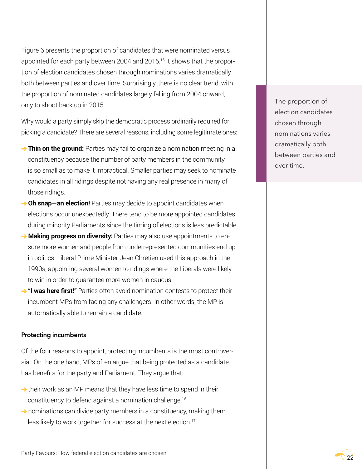Figure 6 presents the proportion of candidates that were nominated versus appointed for each party between 2004 and 2015.15 It shows that the proportion of election candidates chosen through nominations varies dramatically both between parties and over time. Surprisingly, there is no clear trend, with the proportion of nominated candidates largely falling from 2004 onward, only to shoot back up in 2015.

Why would a party simply skip the democratic process ordinarily required for picking a candidate? There are several reasons, including some legitimate ones:

- **→ Thin on the ground:** Parties may fail to organize a nomination meeting in a constituency because the number of party members in the community is so small as to make it impractical. Smaller parties may seek to nominate candidates in all ridings despite not having any real presence in many of those ridings.
- **→ Oh snap—an election!** Parties may decide to appoint candidates when elections occur unexpectedly. There tend to be more appointed candidates during minority Parliaments since the timing of elections is less predictable.
- **Making progress on diversity:** Parties may also use appointments to ensure more women and people from underrepresented communities end up in politics. Liberal Prime Minister Jean Chrétien used this approach in the 1990s, appointing several women to ridings where the Liberals were likely to win in order to guarantee more women in caucus.
- **"I was here first!"** Parties often avoid nomination contests to protect their incumbent MPs from facing any challengers. In other words, the MP is automatically able to remain a candidate.

### **Protecting incumbents**

Of the four reasons to appoint, protecting incumbents is the most controversial. On the one hand, MPs often argue that being protected as a candidate has benefits for the party and Parliament. They argue that:

- $\rightarrow$  their work as an MP means that they have less time to spend in their constituency to defend against a nomination challenge.16
- $\rightarrow$  nominations can divide party members in a constituency, making them less likely to work together for success at the next election.<sup>17</sup>

The proportion of election candidates chosen through nominations varies dramatically both between parties and over time.

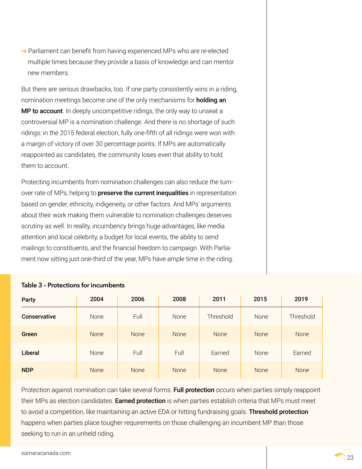→ Parliament can benefit from having experienced MPs who are re-elected multiple times because they provide a basis of knowledge and can mentor new members.

But there are serious drawbacks, too. If one party consistently wins in a riding, nomination meetings become one of the only mechanisms for **holding an MP to account**. In deeply uncompetitive ridings, the only way to unseat a controversial MP is a nomination challenge. And there is no shortage of such ridings: in the 2015 federal election, fully one-fifth of all ridings were won with a margin of victory of over 30 percentage points. If MPs are automatically reappointed as candidates, the community loses even that ability to hold them to account.

Protecting incumbents from nomination challenges can also reduce the turnover rate of MPs, helping to **preserve the current inequalities** in representation based on gender, ethnicity, indigeneity, or other factors. And MPs' arguments about their work making them vulnerable to nomination challenges deserves scrutiny as well. In reality, incumbency brings huge advantages, like media attention and local celebrity, a budget for local events, the ability to send mailings to constituents, and the financial freedom to campaign. With Parliament now sitting just one-third of the year, MPs have ample time in the riding.

| Party               | 2004        | 2006 | 2008        | 2011      | 2015 | 2019      |
|---------------------|-------------|------|-------------|-----------|------|-----------|
| <b>Conservative</b> | <b>None</b> | Full | None        | Threshold | None | Threshold |
| Green               | <b>None</b> | None | <b>None</b> | None      | None | None      |
| <b>Liberal</b>      | None        | Full | Full        | Earned    | None | Earned    |
| <b>NDP</b>          | <b>None</b> | None | <b>None</b> | None      | None | None      |

### **Table 3 – Protections for incumbents**

Protection against nomination can take several forms. Full protection occurs when parties simply reappoint their MPs as election candidates. Earned protection is when parties establish criteria that MPs must meet to avoid a competition, like maintaining an active EDA or hitting fundraising goals. Threshold protection happens when parties place tougher requirements on those challenging an incumbent MP than those seeking to run in an unheld riding.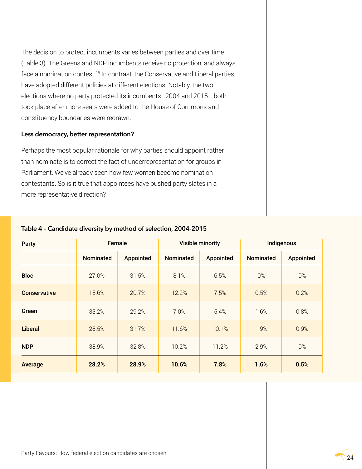The decision to protect incumbents varies between parties and over time (Table 3). The Greens and NDP incumbents receive no protection, and always face a nomination contest.<sup>18</sup> In contrast, the Conservative and Liberal parties have adopted different policies at different elections. Notably, the two elections where no party protected its incumbents–2004 and 2015– both took place after more seats were added to the House of Commons and constituency boundaries were redrawn.

### **Less democracy, better representation?**

Perhaps the most popular rationale for why parties should appoint rather than nominate is to correct the fact of underrepresentation for groups in Parliament. We've already seen how few women become nomination contestants. So is it true that appointees have pushed party slates in a more representative direction?

| Party               | Female           |           | <b>Visible minority</b> |           | Indigenous       |                  |
|---------------------|------------------|-----------|-------------------------|-----------|------------------|------------------|
|                     | <b>Nominated</b> | Appointed | <b>Nominated</b>        | Appointed | <b>Nominated</b> | <b>Appointed</b> |
| <b>Bloc</b>         | 27.0%            | 31.5%     | 8.1%                    | 6.5%      | $0\%$            | $0\%$            |
| <b>Conservative</b> | 15.6%            | 20.7%     | 12.2%                   | 7.5%      | 0.5%             | 0.2%             |
| Green               | 33.2%            | 29.2%     | 7.0%                    | 5.4%      | 1.6%             | 0.8%             |
| <b>Liberal</b>      | 28.5%            | 31.7%     | 11.6%                   | 10.1%     | 1.9%             | 0.9%             |
| <b>NDP</b>          | 38.9%            | 32.8%     | 10.2%                   | 11.2%     | 2.9%             | $0\%$            |
| <b>Average</b>      | 28.2%            | 28.9%     | 10.6%                   | 7.8%      | 1.6%             | 0.5%             |

# **Table 4 – Candidate diversity by method of selection, 2004-2015**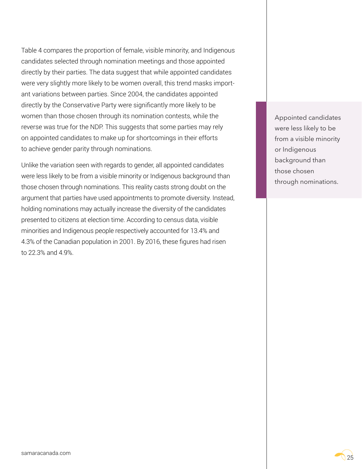Table 4 compares the proportion of female, visible minority, and Indigenous candidates selected through nomination meetings and those appointed directly by their parties. The data suggest that while appointed candidates were very slightly more likely to be women overall, this trend masks important variations between parties. Since 2004, the candidates appointed directly by the Conservative Party were significantly more likely to be women than those chosen through its nomination contests, while the reverse was true for the NDP. This suggests that some parties may rely on appointed candidates to make up for shortcomings in their efforts to achieve gender parity through nominations.

Unlike the variation seen with regards to gender, all appointed candidates were less likely to be from a visible minority or Indigenous background than those chosen through nominations. This reality casts strong doubt on the argument that parties have used appointments to promote diversity. Instead, holding nominations may actually increase the diversity of the candidates presented to citizens at election time. According to census data, visible minorities and Indigenous people respectively accounted for 13.4% and 4.3% of the Canadian population in 2001. By 2016, these figures had risen to 22.3% and 4.9%.

Appointed candidates were less likely to be from a visible minority or Indigenous background than those chosen through nominations.

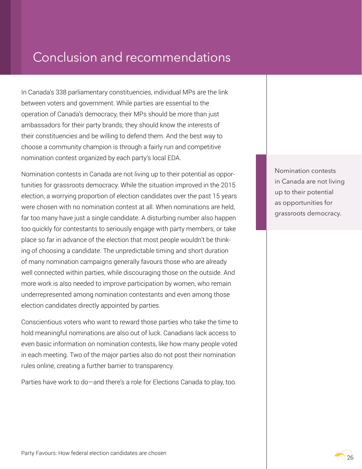# Conclusion and recommendations

In Canada's 338 parliamentary constituencies, individual MPs are the link between voters and government. While parties are essential to the operation of Canada's democracy, their MPs should be more than just ambassadors for their party brands; they should know the interests of their constituencies and be willing to defend them. And the best way to choose a community champion is through a fairly run and competitive nomination contest organized by each party's local EDA.

Nomination contests in Canada are not living up to their potential as opportunities for grassroots democracy. While the situation improved in the 2015 election, a worrying proportion of election candidates over the past 15 years were chosen with no nomination contest at all. When nominations are held, far too many have just a single candidate. A disturbing number also happen too quickly for contestants to seriously engage with party members, or take place so far in advance of the election that most people wouldn't be thinking of choosing a candidate. The unpredictable timing and short duration of many nomination campaigns generally favours those who are already well connected within parties, while discouraging those on the outside. And more work is also needed to improve participation by women, who remain underrepresented among nomination contestants and even among those election candidates directly appointed by parties.

Conscientious voters who want to reward those parties who take the time to hold meaningful nominations are also out of luck. Canadians lack access to even basic information on nomination contests, like how many people voted in each meeting. Two of the major parties also do not post their nomination rules online, creating a further barrier to transparency.

Parties have work to do—and there's a role for Elections Canada to play, too.

Nomination contests in Canada are not living up to their potential as opportunities for grassroots democracy.

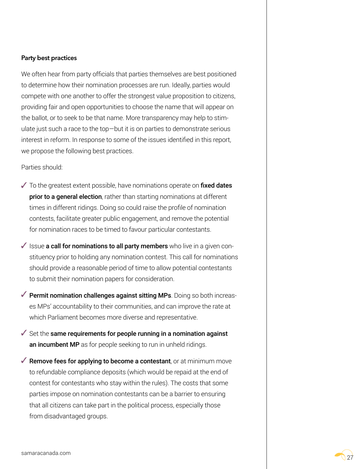#### **Party best practices**

We often hear from party officials that parties themselves are best positioned to determine how their nomination processes are run. Ideally, parties would compete with one another to offer the strongest value proposition to citizens, providing fair and open opportunities to choose the name that will appear on the ballot, or to seek to be that name. More transparency may help to stimulate just such a race to the top—but it is on parties to demonstrate serious interest in reform. In response to some of the issues identified in this report, we propose the following best practices.

Parties should:

- $\checkmark$  To the greatest extent possible, have nominations operate on fixed dates prior to a general election, rather than starting nominations at different times in different ridings. Doing so could raise the profile of nomination contests, facilitate greater public engagement, and remove the potential for nomination races to be timed to favour particular contestants.
- $\checkmark$  Issue a call for nominations to all party members who live in a given constituency prior to holding any nomination contest. This call for nominations should provide a reasonable period of time to allow potential contestants to submit their nomination papers for consideration.
- $\sqrt{\ }$  Permit nomination challenges against sitting MPs. Doing so both increases MPs' accountability to their communities, and can improve the rate at which Parliament becomes more diverse and representative.
- $\checkmark$  Set the same requirements for people running in a nomination against an incumbent MP as for people seeking to run in unheld ridings.
- $\sqrt{\ }$  Remove fees for applying to become a contestant, or at minimum move to refundable compliance deposits (which would be repaid at the end of contest for contestants who stay within the rules). The costs that some parties impose on nomination contestants can be a barrier to ensuring that all citizens can take part in the political process, especially those from disadvantaged groups.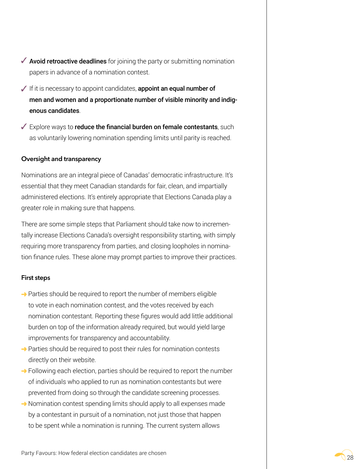- $\sqrt{\phantom{a}}$  Avoid retroactive deadlines for joining the party or submitting nomination papers in advance of a nomination contest.
- $\sqrt{ }$  If it is necessary to appoint candidates, appoint an equal number of men and women and a proportionate number of visible minority and indigenous candidates.
- $\sqrt{ }$  Explore ways to reduce the financial burden on female contestants, such as voluntarily lowering nomination spending limits until parity is reached.

# **Oversight and transparency**

Nominations are an integral piece of Canadas' democratic infrastructure. It's essential that they meet Canadian standards for fair, clean, and impartially administered elections. It's entirely appropriate that Elections Canada play a greater role in making sure that happens.

There are some simple steps that Parliament should take now to incrementally increase Elections Canada's oversight responsibility starting, with simply requiring more transparency from parties, and closing loopholes in nomination finance rules. These alone may prompt parties to improve their practices.

### **First steps**

- $\rightarrow$  Parties should be required to report the number of members eligible to vote in each nomination contest, and the votes received by each nomination contestant. Reporting these figures would add little additional burden on top of the information already required, but would yield large improvements for transparency and accountability.
- $\rightarrow$  Parties should be required to post their rules for nomination contests directly on their website.
- $\rightarrow$  Following each election, parties should be required to report the number of individuals who applied to run as nomination contestants but were prevented from doing so through the candidate screening processes.
- **→** Nomination contest spending limits should apply to all expenses made by a contestant in pursuit of a nomination, not just those that happen to be spent while a nomination is running. The current system allows

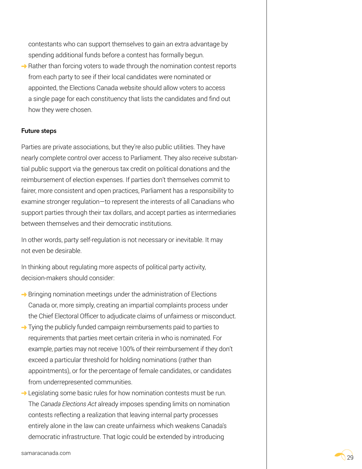contestants who can support themselves to gain an extra advantage by spending additional funds before a contest has formally begun.

 $\rightarrow$  Rather than forcing voters to wade through the nomination contest reports from each party to see if their local candidates were nominated or appointed, the Elections Canada website should allow voters to access a single page for each constituency that lists the candidates and find out how they were chosen.

#### **Future steps**

Parties are private associations, but they're also public utilities. They have nearly complete control over access to Parliament. They also receive substantial public support via the generous tax credit on political donations and the reimbursement of election expenses. If parties don't themselves commit to fairer, more consistent and open practices, Parliament has a responsibility to examine stronger regulation—to represent the interests of all Canadians who support parties through their tax dollars, and accept parties as intermediaries between themselves and their democratic institutions.

In other words, party self-regulation is not necessary or inevitable. It may not even be desirable.

In thinking about regulating more aspects of political party activity, decision-makers should consider:

- $\rightarrow$  Bringing nomination meetings under the administration of Elections Canada or, more simply, creating an impartial complaints process under the Chief Electoral Officer to adjudicate claims of unfairness or misconduct.
- $\rightarrow$  Tying the publicly funded campaign reimbursements paid to parties to requirements that parties meet certain criteria in who is nominated. For example, parties may not receive 100% of their reimbursement if they don't exceed a particular threshold for holding nominations (rather than appointments), or for the percentage of female candidates, or candidates from underrepresented communities.
- $\rightarrow$  Legislating some basic rules for how nomination contests must be run. The *Canada Elections Act* already imposes spending limits on nomination contests reflecting a realization that leaving internal party processes entirely alone in the law can create unfairness which weakens Canada's democratic infrastructure. That logic could be extended by introducing

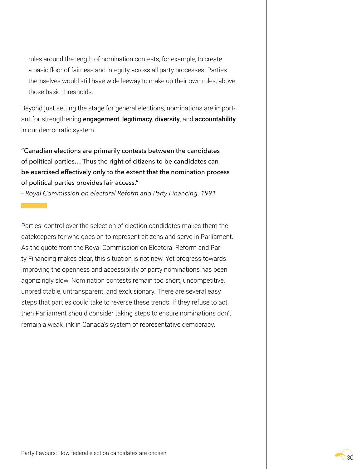rules around the length of nomination contests, for example, to create a basic floor of fairness and integrity across all party processes. Parties themselves would still have wide leeway to make up their own rules, above those basic thresholds.

Beyond just setting the stage for general elections, nominations are important for strengthening engagement, legitimacy, diversity, and accountability in our democratic system.

"Canadian elections are primarily contests between the candidates of political parties… Thus the right of citizens to be candidates can be exercised effectively only to the extent that the nomination process of political parties provides fair access."

*– Royal Commission on electoral Reform and Party Financing, 1991*

Parties' control over the selection of election candidates makes them the gatekeepers for who goes on to represent citizens and serve in Parliament. As the quote from the Royal Commission on Electoral Reform and Party Financing makes clear, this situation is not new. Yet progress towards improving the openness and accessibility of party nominations has been agonizingly slow. Nomination contests remain too short, uncompetitive, unpredictable, untransparent, and exclusionary. There are several easy steps that parties could take to reverse these trends. If they refuse to act, then Parliament should consider taking steps to ensure nominations don't remain a weak link in Canada's system of representative democracy.

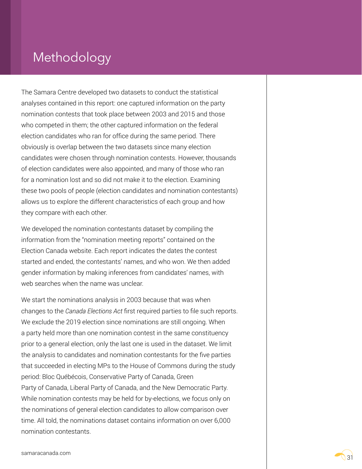# Methodology

The Samara Centre developed two datasets to conduct the statistical analyses contained in this report: one captured information on the party nomination contests that took place between 2003 and 2015 and those who competed in them; the other captured information on the federal election candidates who ran for office during the same period. There obviously is overlap between the two datasets since many election candidates were chosen through nomination contests. However, thousands of election candidates were also appointed, and many of those who ran for a nomination lost and so did not make it to the election. Examining these two pools of people (election candidates and nomination contestants) allows us to explore the different characteristics of each group and how they compare with each other.

We developed the nomination contestants dataset by compiling the information from the "nomination meeting reports" contained on the Election Canada website. Each report indicates the dates the contest started and ended, the contestants' names, and who won. We then added gender information by making inferences from candidates' names, with web searches when the name was unclear.

We start the nominations analysis in 2003 because that was when changes to the *Canada Elections Act* first required parties to file such reports. We exclude the 2019 election since nominations are still ongoing. When a party held more than one nomination contest in the same constituency prior to a general election, only the last one is used in the dataset. We limit the analysis to candidates and nomination contestants for the five parties that succeeded in electing MPs to the House of Commons during the study period: Bloc Québécois, Conservative Party of Canada, Green Party of Canada, Liberal Party of Canada, and the New Democratic Party. While nomination contests may be held for by-elections, we focus only on the nominations of general election candidates to allow comparison over time. All told, the nominations dataset contains information on over 6,000 nomination contestants.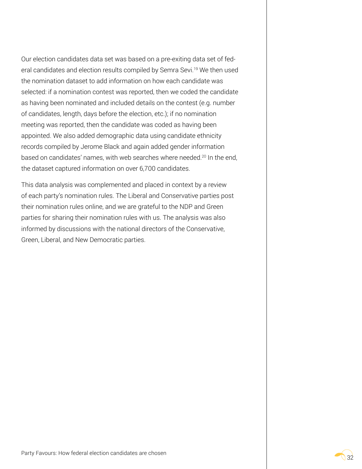Our election candidates data set was based on a pre-exiting data set of federal candidates and election results compiled by Semra Sevi.<sup>19</sup> We then used the nomination dataset to add information on how each candidate was selected: if a nomination contest was reported, then we coded the candidate as having been nominated and included details on the contest (e.g. number of candidates, length, days before the election, etc.); if no nomination meeting was reported, then the candidate was coded as having been appointed. We also added demographic data using candidate ethnicity records compiled by Jerome Black and again added gender information based on candidates' names, with web searches where needed.<sup>20</sup> In the end, the dataset captured information on over 6,700 candidates.

This data analysis was complemented and placed in context by a review of each party's nomination rules. The Liberal and Conservative parties post their nomination rules online, and we are grateful to the NDP and Green parties for sharing their nomination rules with us. The analysis was also informed by discussions with the national directors of the Conservative, Green, Liberal, and New Democratic parties.

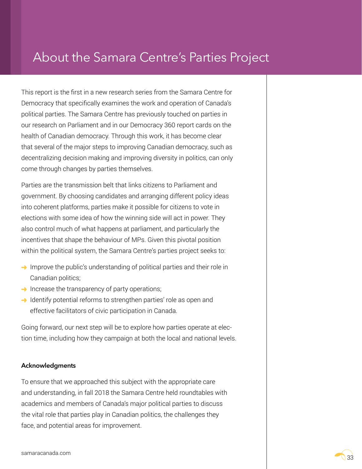# About the Samara Centre's Parties Project

This report is the first in a new research series from the Samara Centre for Democracy that specifically examines the work and operation of Canada's political parties. The Samara Centre has previously touched on parties in our research on Parliament and in our Democracy 360 report cards on the health of Canadian democracy. Through this work, it has become clear that several of the major steps to improving Canadian democracy, such as decentralizing decision making and improving diversity in politics, can only come through changes by parties themselves.

Parties are the transmission belt that links citizens to Parliament and government. By choosing candidates and arranging different policy ideas into coherent platforms, parties make it possible for citizens to vote in elections with some idea of how the winning side will act in power. They also control much of what happens at parliament, and particularly the incentives that shape the behaviour of MPs. Given this pivotal position within the political system, the Samara Centre's parties project seeks to:

- $\rightarrow$  Improve the public's understanding of political parties and their role in Canadian politics;
- $\rightarrow$  Increase the transparency of party operations;
- $\rightarrow$  Identify potential reforms to strengthen parties' role as open and effective facilitators of civic participation in Canada.

Going forward, our next step will be to explore how parties operate at election time, including how they campaign at both the local and national levels.

#### **Acknowledgments**

To ensure that we approached this subject with the appropriate care and understanding, in fall 2018 the Samara Centre held roundtables with academics and members of Canada's major political parties to discuss the vital role that parties play in Canadian politics, the challenges they face, and potential areas for improvement.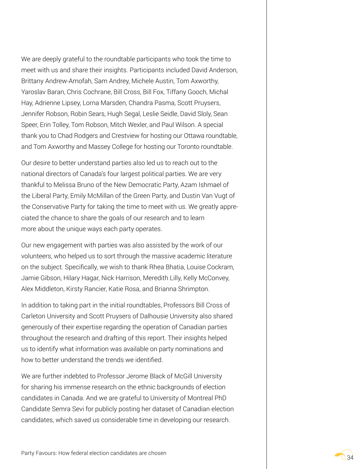We are deeply grateful to the roundtable participants who took the time to meet with us and share their insights. Participants included David Anderson, Brittany Andrew-Amofah, Sam Andrey, Michele Austin, Tom Axworthy, Yaroslav Baran, Chris Cochrane, Bill Cross, Bill Fox, Tiffany Gooch, Michal Hay, Adrienne Lipsey, Lorna Marsden, Chandra Pasma, Scott Pruysers, Jennifer Robson, Robin Sears, Hugh Segal, Leslie Seidle, David Sloly, Sean Speer, Erin Tolley, Tom Robson, Mitch Wexler, and Paul Wilson. A special thank you to Chad Rodgers and Crestview for hosting our Ottawa roundtable, and Tom Axworthy and Massey College for hosting our Toronto roundtable.

Our desire to better understand parties also led us to reach out to the national directors of Canada's four largest political parties. We are very thankful to Melissa Bruno of the New Democratic Party, Azam Ishmael of the Liberal Party, Emily McMillan of the Green Party, and Dustin Van Vugt of the Conservative Party for taking the time to meet with us. We greatly appreciated the chance to share the goals of our research and to learn more about the unique ways each party operates.

Our new engagement with parties was also assisted by the work of our volunteers, who helped us to sort through the massive academic literature on the subject. Specifically, we wish to thank Rhea Bhatia, Louise Cockram, Jamie Gibson, Hilary Hagar, Nick Harrison, Meredith Lilly, Kelly McConvey, Alex Middleton, Kirsty Rancier, Katie Rosa, and Brianna Shrimpton.

In addition to taking part in the initial roundtables, Professors Bill Cross of Carleton University and Scott Pruysers of Dalhousie University also shared generously of their expertise regarding the operation of Canadian parties throughout the research and drafting of this report. Their insights helped us to identify what information was available on party nominations and how to better understand the trends we identified.

We are further indebted to Professor Jerome Black of McGill University for sharing his immense research on the ethnic backgrounds of election candidates in Canada. And we are grateful to University of Montreal PhD Candidate Semra Sevi for publicly posting her dataset of Canadian election candidates, which saved us considerable time in developing our research.

Party Favours: How federal election candidates are chosen

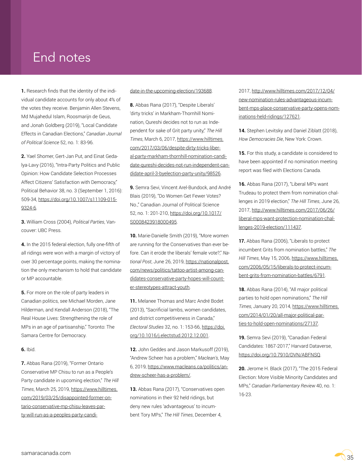# End notes

**1.** Research finds that the identity of the individual candidate accounts for only about 4% of the votes they receive. Benjamin Allen Stevens, Md Mujahedul Islam, Roosmarijn de Geus, and Jonah Goldberg (2019), "Local Candidate Effects in Canadian Elections," *Canadian Journal of Political Science* 52, no. 1: 83-96.

**2.** Yael Shomer, Gert-Jan Put, and Einat Gedalya-Lavy (2016), "Intra-Party Politics and Public Opinion: How Candidate Selection Processes Affect Citizens' Satisfaction with Democracy," Political Behavior 38, no. 3 (September 1, 2016): 509-34, [https://doi.org/10.1007/s11109-015-](https://doi.org/10.1007/s11109-015-9324-6) [9324-6](https://doi.org/10.1007/s11109-015-9324-6).

**3.** William Cross (2004), *Political Parties*, Vancouver: UBC Press.

**4.** In the 2015 federal election, fully one-fifth of all ridings were won with a margin of victory of over 30 percentage points, making the nomination the only mechanism to hold that candidate or MP accountable.

**5.** For more on the role of party leaders in Canadian politics, see Michael Morden, Jane Hilderman, and Kendall Anderson (2018), "The Real House Lives: Strengthening the role of MPs in an age of partisanship," Toronto: The Samara Centre for Democracy.

#### **6.** Ibid.

**7.** Abbas Rana (2019), "Former Ontario Conservative MP Chisu to run as a People's Party candidate in upcoming election," *The Hill Times*, March 25, 2019, [https://www.hilltimes.](https://www.hilltimes.com/2019/03/25/disappointed-former-ontario-conservative-mp-chisu-leaves-party-will-run-as-a-peoples-party-candidate-in-the-upcoming-election/193688) [com/2019/03/25/disappointed-former-on](https://www.hilltimes.com/2019/03/25/disappointed-former-ontario-conservative-mp-chisu-leaves-party-will-run-as-a-peoples-party-candidate-in-the-upcoming-election/193688)[tario-conservative-mp-chisu-leaves-par](https://www.hilltimes.com/2019/03/25/disappointed-former-ontario-conservative-mp-chisu-leaves-party-will-run-as-a-peoples-party-candidate-in-the-upcoming-election/193688)[ty-will-run-as-a-peoples-party-candi-](https://www.hilltimes.com/2019/03/25/disappointed-former-ontario-conservative-mp-chisu-leaves-party-will-run-as-a-peoples-party-candidate-in-the-upcoming-election/193688) [date-in-the-upcoming-election/193688](https://www.hilltimes.com/2019/03/25/disappointed-former-ontario-conservative-mp-chisu-leaves-party-will-run-as-a-peoples-party-candidate-in-the-upcoming-election/193688).

**8.** Abbas Rana (2017), "Despite Liberals' 'dirty tricks' in Markham-Thornhill Nomination, Qureshi decides not to run as Independent for sake of Grit party unity," *The Hill Times*, March 6, 2017, [https://www.hilltimes.](https://www.hilltimes.com/2017/03/06/despite-dirty-tricks-liberal-party-markham-thornhill-nomination-candidate-qureshi-decides-not-run-independent-candidate-april-3-byelection-party-unity/98526) [com/2017/03/06/despite-dirty-tricks-liber](https://www.hilltimes.com/2017/03/06/despite-dirty-tricks-liberal-party-markham-thornhill-nomination-candidate-qureshi-decides-not-run-independent-candidate-april-3-byelection-party-unity/98526)[al-party-markham-thornhill-nomination-candi](https://www.hilltimes.com/2017/03/06/despite-dirty-tricks-liberal-party-markham-thornhill-nomination-candidate-qureshi-decides-not-run-independent-candidate-april-3-byelection-party-unity/98526)[date-qureshi-decides-not-run-independent-can](https://www.hilltimes.com/2017/03/06/despite-dirty-tricks-liberal-party-markham-thornhill-nomination-candidate-qureshi-decides-not-run-independent-candidate-april-3-byelection-party-unity/98526)[didate-april-3-byelection-party-unity/98526](https://www.hilltimes.com/2017/03/06/despite-dirty-tricks-liberal-party-markham-thornhill-nomination-candidate-qureshi-decides-not-run-independent-candidate-april-3-byelection-party-unity/98526).

**9.** Semra Sevi, Vincent Arel-Bundock, and André Blais (2019), "Do Women Get Fewer Votes? No.," Canadian Journal of Political Science 52, no. 1: 201-210, [https://doi.org/10.1017/](https://doi.org/10.1017/S0008423918000495) [S0008423918000495](https://doi.org/10.1017/S0008423918000495).

**10.** Marie-Danielle Smith (2019), "More women are running for the Conservatives than ever before. Can it erode the liberals' female vote?," *National Post*, June 26, 2019, [https://nationalpost.](https://nationalpost.com/news/politics/tattoo-artist-among-candidates-conservative-party-hopes-will-counter-stereotypes-attract-youth) [com/news/politics/tattoo-artist-among-can](https://nationalpost.com/news/politics/tattoo-artist-among-candidates-conservative-party-hopes-will-counter-stereotypes-attract-youth)[didates-conservative-party-hopes-will-count](https://nationalpost.com/news/politics/tattoo-artist-among-candidates-conservative-party-hopes-will-counter-stereotypes-attract-youth)[er-stereotypes-attract-youth](https://nationalpost.com/news/politics/tattoo-artist-among-candidates-conservative-party-hopes-will-counter-stereotypes-attract-youth).

**11.** Melanee Thomas and Marc André Bodet (2013), "Sacrificial lambs, women candidates, and district competitiveness in Canada," *Electoral Studies* 32, no. 1: 153-66, [https://doi.](https://doi.org/10.1016/j.electstud.2012.12.001) [org/10.1016/j.electstud.2012.12.001](https://doi.org/10.1016/j.electstud.2012.12.001).

**12.** John Geddes and Jason Markusoff (2019), "Andrew Scheer has a problem," *Maclean's*, May 6, 2019, [https://www.macleans.ca/politics/an](https://www.macleans.ca/politics/andrew-scheer-has-a-problem/)[drew-scheer-has-a-problem/](https://www.macleans.ca/politics/andrew-scheer-has-a-problem/).

**13.** Abbas Rana (2017), "Conservatives open nominations in their 92 held ridings, but deny new rules 'advantageous' to incumbent Tory MPs," *The Hill Times*, December 4,

2017, [http://www.hilltimes.com/2017/12/04/](http://www.hilltimes.com/2017/12/04/new-nomination-rules-advantageous-incumbent-mps-place-conservative-party-opens-nominations-held-ridings/127621) [new-nomination-rules-advantageous-incum](http://www.hilltimes.com/2017/12/04/new-nomination-rules-advantageous-incumbent-mps-place-conservative-party-opens-nominations-held-ridings/127621)[bent-mps-place-conservative-party-opens-nom](http://www.hilltimes.com/2017/12/04/new-nomination-rules-advantageous-incumbent-mps-place-conservative-party-opens-nominations-held-ridings/127621)[inations-held-ridings/127621](http://www.hilltimes.com/2017/12/04/new-nomination-rules-advantageous-incumbent-mps-place-conservative-party-opens-nominations-held-ridings/127621).

**14.** Stephen Levitsky and Daniel Ziblatt (2018), *How Democracies Die*, New York: Crown.

**15.** For this study, a candidate is considered to have been appointed if no nomination meeting report was filed with Elections Canada.

**16.** Abbas Rana (2017), "Liberal MPs want Trudeau to protect them from nomination challenges in 2019 election," *The Hill Times*, June 26, 2017, [http://www.hilltimes.com/2017/06/26/](http://www.hilltimes.com/2017/06/26/liberal-mps-want-protection-nomination-challenges-2019-election/111437) [liberal-mps-want-protection-nomination-chal](http://www.hilltimes.com/2017/06/26/liberal-mps-want-protection-nomination-challenges-2019-election/111437)[lenges-2019-election/111437](http://www.hilltimes.com/2017/06/26/liberal-mps-want-protection-nomination-challenges-2019-election/111437).

**17.** Abbas Rana (2006), "Liberals to protect incumbent Grits from nomination battles," *The Hill Times*, May 15, 2006, [https://www.hilltimes.](https://www.hilltimes.com/2006/05/15/liberals-to-protect-incumbent-grits-from-nomination-battles/6791) [com/2006/05/15/liberals-to-protect-incum](https://www.hilltimes.com/2006/05/15/liberals-to-protect-incumbent-grits-from-nomination-battles/6791)[bent-grits-from-nomination-battles/6791](https://www.hilltimes.com/2006/05/15/liberals-to-protect-incumbent-grits-from-nomination-battles/6791).

**18.** Abbas Rana (2014), "All major political parties to hold open nominations," *The Hill Times*, January 20, 2014, [https://www.hilltimes.](https://www.hilltimes.com/2014/01/20/all-major-political-parties-to-hold-open-nominations/27137) [com/2014/01/20/all-major-political-par](https://www.hilltimes.com/2014/01/20/all-major-political-parties-to-hold-open-nominations/27137)[ties-to-hold-open-nominations/27137](https://www.hilltimes.com/2014/01/20/all-major-political-parties-to-hold-open-nominations/27137).

**19.** Semra Sevi (2019), "Canadian Federal Candidates: 1867-2017," Harvard Dataverse, <https://doi.org/10.7910/DVN/ABFNSQ>.

**20.** Jerome H. Black (2017), "The 2015 Federal Election: More Visible Minority Candidates and MPs," *Canadian Parliamentary Review* 40, no. 1: 16-23.